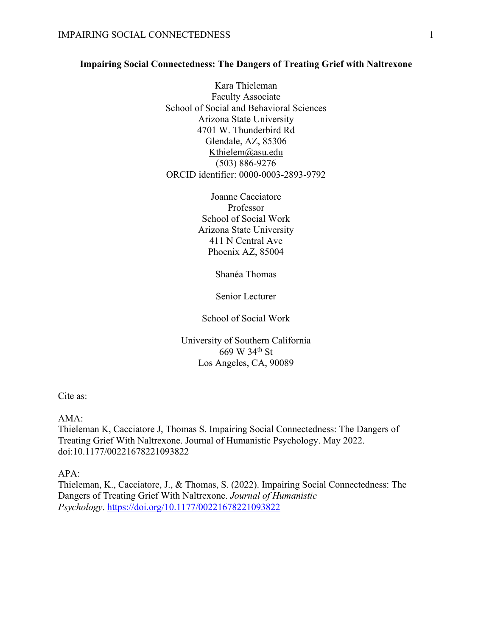## **Impairing Social Connectedness: The Dangers of Treating Grief with Naltrexone**

Kara Thieleman Faculty Associate School of Social and Behavioral Sciences Arizona State University 4701 W. Thunderbird Rd Glendale, AZ, 85306 Kthielem@asu.edu (503) 886-9276 ORCID identifier: 0000-0003-2893-9792

> Joanne Cacciatore Professor School of Social Work Arizona State University 411 N Central Ave Phoenix AZ, 85004

> > Shanéa Thomas

Senior Lecturer

School of Social Work

University of Southern California 669 W 34th St Los Angeles, CA, 90089

Cite as:

AMA:

Thieleman K, Cacciatore J, Thomas S. Impairing Social Connectedness: The Dangers of Treating Grief With Naltrexone. Journal of Humanistic Psychology. May 2022. doi:10.1177/00221678221093822

APA:

Thieleman, K., Cacciatore, J., & Thomas, S. (2022). Impairing Social Connectedness: The Dangers of Treating Grief With Naltrexone. *Journal of Humanistic Psychology*. https://doi.org/10.1177/00221678221093822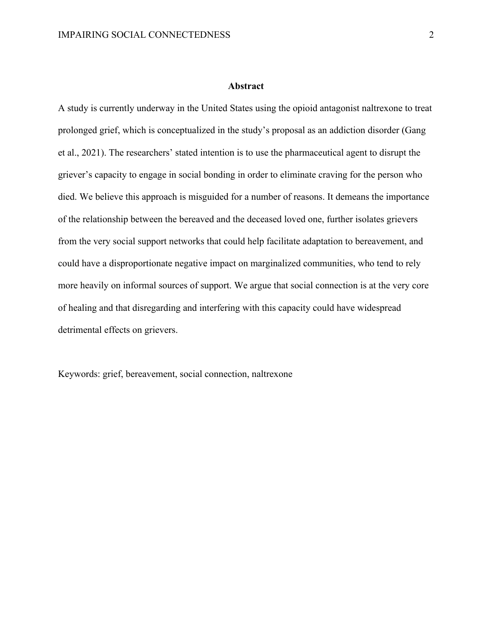#### **Abstract**

A study is currently underway in the United States using the opioid antagonist naltrexone to treat prolonged grief, which is conceptualized in the study's proposal as an addiction disorder (Gang et al., 2021). The researchers' stated intention is to use the pharmaceutical agent to disrupt the griever's capacity to engage in social bonding in order to eliminate craving for the person who died. We believe this approach is misguided for a number of reasons. It demeans the importance of the relationship between the bereaved and the deceased loved one, further isolates grievers from the very social support networks that could help facilitate adaptation to bereavement, and could have a disproportionate negative impact on marginalized communities, who tend to rely more heavily on informal sources of support. We argue that social connection is at the very core of healing and that disregarding and interfering with this capacity could have widespread detrimental effects on grievers.

Keywords: grief, bereavement, social connection, naltrexone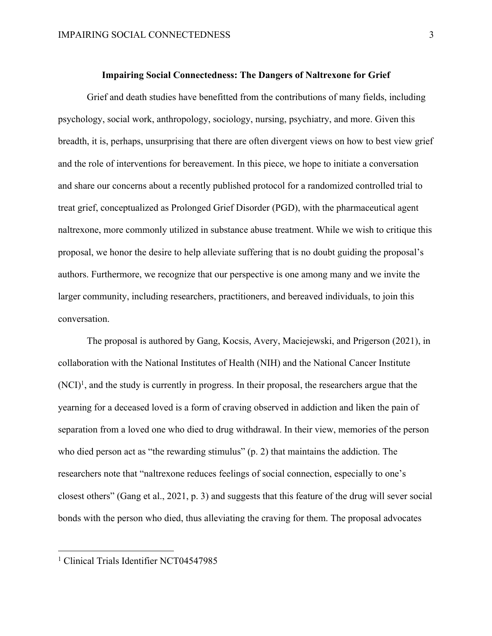# **Impairing Social Connectedness: The Dangers of Naltrexone for Grief**

Grief and death studies have benefitted from the contributions of many fields, including psychology, social work, anthropology, sociology, nursing, psychiatry, and more. Given this breadth, it is, perhaps, unsurprising that there are often divergent views on how to best view grief and the role of interventions for bereavement. In this piece, we hope to initiate a conversation and share our concerns about a recently published protocol for a randomized controlled trial to treat grief, conceptualized as Prolonged Grief Disorder (PGD), with the pharmaceutical agent naltrexone, more commonly utilized in substance abuse treatment. While we wish to critique this proposal, we honor the desire to help alleviate suffering that is no doubt guiding the proposal's authors. Furthermore, we recognize that our perspective is one among many and we invite the larger community, including researchers, practitioners, and bereaved individuals, to join this conversation.

The proposal is authored by Gang, Kocsis, Avery, Maciejewski, and Prigerson (2021), in collaboration with the National Institutes of Health (NIH) and the National Cancer Institute  $(N<sup>C</sup>)<sup>1</sup>$ , and the study is currently in progress. In their proposal, the researchers argue that the yearning for a deceased loved is a form of craving observed in addiction and liken the pain of separation from a loved one who died to drug withdrawal. In their view, memories of the person who died person act as "the rewarding stimulus" (p. 2) that maintains the addiction. The researchers note that "naltrexone reduces feelings of social connection, especially to one's closest others" (Gang et al., 2021, p. 3) and suggests that this feature of the drug will sever social bonds with the person who died, thus alleviating the craving for them. The proposal advocates

<sup>&</sup>lt;sup>1</sup> Clinical Trials Identifier NCT04547985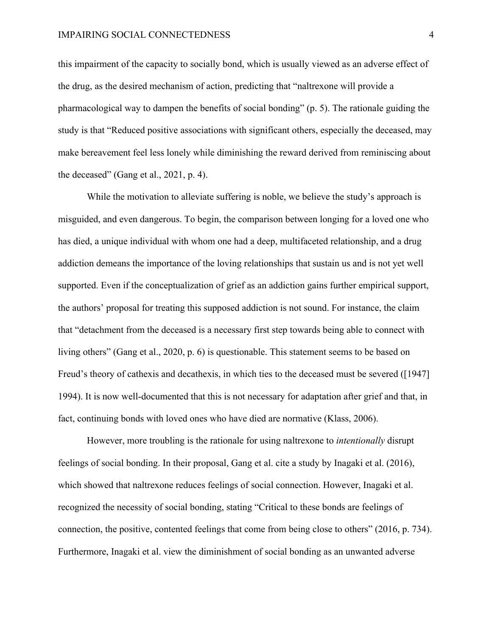this impairment of the capacity to socially bond, which is usually viewed as an adverse effect of the drug, as the desired mechanism of action, predicting that "naltrexone will provide a pharmacological way to dampen the benefits of social bonding" (p. 5). The rationale guiding the study is that "Reduced positive associations with significant others, especially the deceased, may make bereavement feel less lonely while diminishing the reward derived from reminiscing about the deceased" (Gang et al., 2021, p. 4).

While the motivation to alleviate suffering is noble, we believe the study's approach is misguided, and even dangerous. To begin, the comparison between longing for a loved one who has died, a unique individual with whom one had a deep, multifaceted relationship, and a drug addiction demeans the importance of the loving relationships that sustain us and is not yet well supported. Even if the conceptualization of grief as an addiction gains further empirical support, the authors' proposal for treating this supposed addiction is not sound. For instance, the claim that "detachment from the deceased is a necessary first step towards being able to connect with living others" (Gang et al., 2020, p. 6) is questionable. This statement seems to be based on Freud's theory of cathexis and decathexis, in which ties to the deceased must be severed ([1947] 1994). It is now well-documented that this is not necessary for adaptation after grief and that, in fact, continuing bonds with loved ones who have died are normative (Klass, 2006).

However, more troubling is the rationale for using naltrexone to *intentionally* disrupt feelings of social bonding. In their proposal, Gang et al. cite a study by Inagaki et al. (2016), which showed that naltrexone reduces feelings of social connection. However, Inagaki et al. recognized the necessity of social bonding, stating "Critical to these bonds are feelings of connection, the positive, contented feelings that come from being close to others" (2016, p. 734). Furthermore, Inagaki et al. view the diminishment of social bonding as an unwanted adverse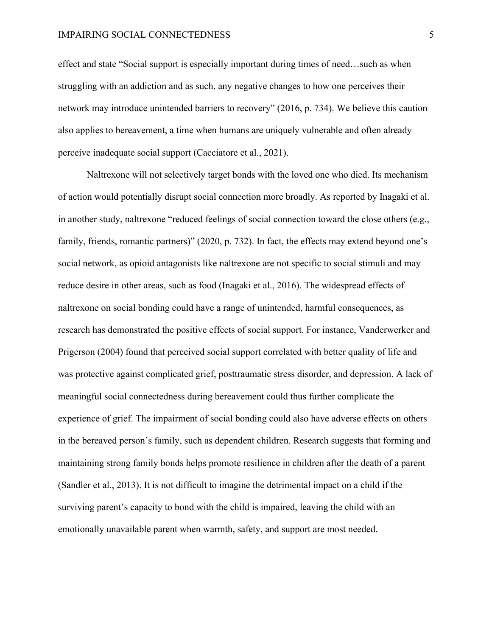### IMPAIRING SOCIAL CONNECTEDNESS 5

effect and state "Social support is especially important during times of need…such as when struggling with an addiction and as such, any negative changes to how one perceives their network may introduce unintended barriers to recovery" (2016, p. 734). We believe this caution also applies to bereavement, a time when humans are uniquely vulnerable and often already perceive inadequate social support (Cacciatore et al., 2021).

Naltrexone will not selectively target bonds with the loved one who died. Its mechanism of action would potentially disrupt social connection more broadly. As reported by Inagaki et al. in another study, naltrexone "reduced feelings of social connection toward the close others (e.g., family, friends, romantic partners)" (2020, p. 732). In fact, the effects may extend beyond one's social network, as opioid antagonists like naltrexone are not specific to social stimuli and may reduce desire in other areas, such as food (Inagaki et al., 2016). The widespread effects of naltrexone on social bonding could have a range of unintended, harmful consequences, as research has demonstrated the positive effects of social support. For instance, Vanderwerker and Prigerson (2004) found that perceived social support correlated with better quality of life and was protective against complicated grief, posttraumatic stress disorder, and depression. A lack of meaningful social connectedness during bereavement could thus further complicate the experience of grief. The impairment of social bonding could also have adverse effects on others in the bereaved person's family, such as dependent children. Research suggests that forming and maintaining strong family bonds helps promote resilience in children after the death of a parent (Sandler et al., 2013). It is not difficult to imagine the detrimental impact on a child if the surviving parent's capacity to bond with the child is impaired, leaving the child with an emotionally unavailable parent when warmth, safety, and support are most needed.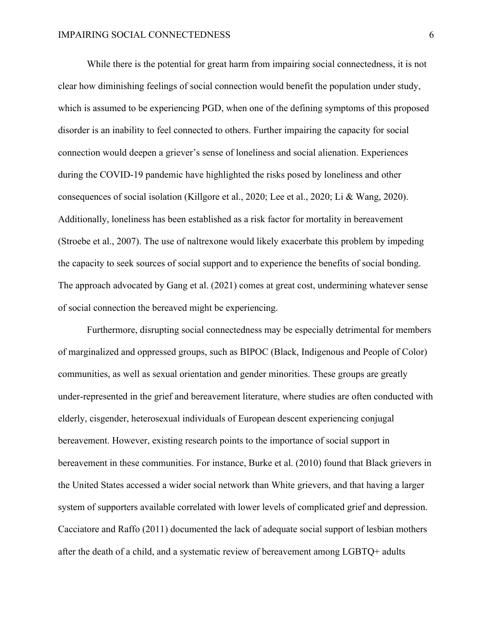While there is the potential for great harm from impairing social connectedness, it is not clear how diminishing feelings of social connection would benefit the population under study, which is assumed to be experiencing PGD, when one of the defining symptoms of this proposed disorder is an inability to feel connected to others. Further impairing the capacity for social connection would deepen a griever's sense of loneliness and social alienation. Experiences during the COVID-19 pandemic have highlighted the risks posed by loneliness and other consequences of social isolation (Killgore et al., 2020; Lee et al., 2020; Li & Wang, 2020). Additionally, loneliness has been established as a risk factor for mortality in bereavement (Stroebe et al., 2007). The use of naltrexone would likely exacerbate this problem by impeding the capacity to seek sources of social support and to experience the benefits of social bonding. The approach advocated by Gang et al. (2021) comes at great cost, undermining whatever sense of social connection the bereaved might be experiencing.

Furthermore, disrupting social connectedness may be especially detrimental for members of marginalized and oppressed groups, such as BIPOC (Black, Indigenous and People of Color) communities, as well as sexual orientation and gender minorities. These groups are greatly under-represented in the grief and bereavement literature, where studies are often conducted with elderly, cisgender, heterosexual individuals of European descent experiencing conjugal bereavement. However, existing research points to the importance of social support in bereavement in these communities. For instance, Burke et al. (2010) found that Black grievers in the United States accessed a wider social network than White grievers, and that having a larger system of supporters available correlated with lower levels of complicated grief and depression. Cacciatore and Raffo (2011) documented the lack of adequate social support of lesbian mothers after the death of a child, and a systematic review of bereavement among LGBTQ+ adults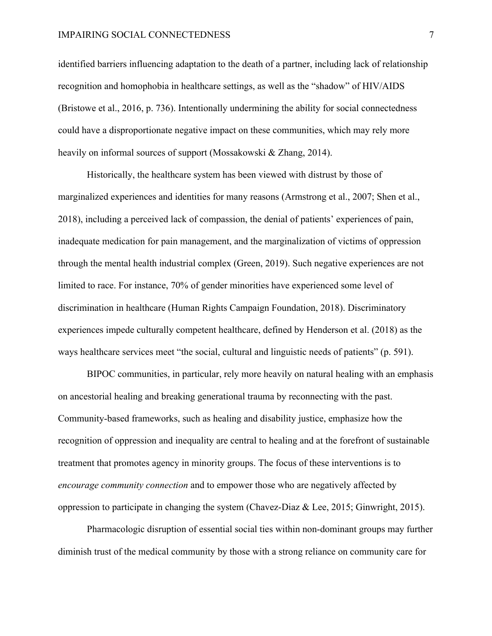### IMPAIRING SOCIAL CONNECTEDNESS 7

identified barriers influencing adaptation to the death of a partner, including lack of relationship recognition and homophobia in healthcare settings, as well as the "shadow" of HIV/AIDS (Bristowe et al., 2016, p. 736). Intentionally undermining the ability for social connectedness could have a disproportionate negative impact on these communities, which may rely more heavily on informal sources of support (Mossakowski & Zhang, 2014).

Historically, the healthcare system has been viewed with distrust by those of marginalized experiences and identities for many reasons (Armstrong et al., 2007; Shen et al., 2018), including a perceived lack of compassion, the denial of patients' experiences of pain, inadequate medication for pain management, and the marginalization of victims of oppression through the mental health industrial complex (Green, 2019). Such negative experiences are not limited to race. For instance, 70% of gender minorities have experienced some level of discrimination in healthcare (Human Rights Campaign Foundation, 2018). Discriminatory experiences impede culturally competent healthcare, defined by Henderson et al. (2018) as the ways healthcare services meet "the social, cultural and linguistic needs of patients" (p. 591).

BIPOC communities, in particular, rely more heavily on natural healing with an emphasis on ancestorial healing and breaking generational trauma by reconnecting with the past. Community-based frameworks, such as healing and disability justice, emphasize how the recognition of oppression and inequality are central to healing and at the forefront of sustainable treatment that promotes agency in minority groups. The focus of these interventions is to *encourage community connection* and to empower those who are negatively affected by oppression to participate in changing the system (Chavez-Diaz & Lee, 2015; Ginwright, 2015).

Pharmacologic disruption of essential social ties within non-dominant groups may further diminish trust of the medical community by those with a strong reliance on community care for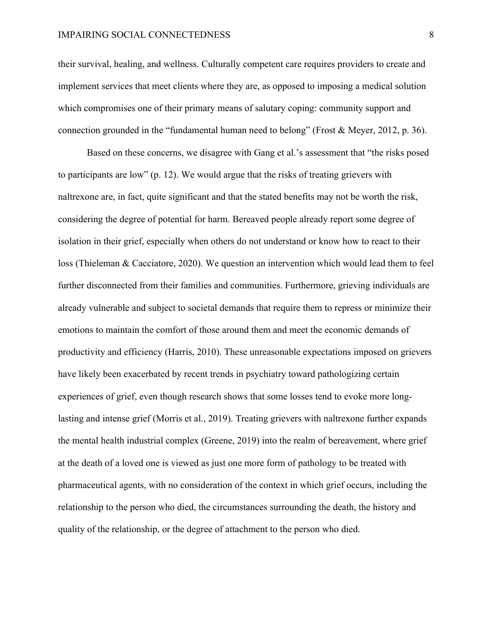their survival, healing, and wellness. Culturally competent care requires providers to create and implement services that meet clients where they are, as opposed to imposing a medical solution which compromises one of their primary means of salutary coping: community support and connection grounded in the "fundamental human need to belong" (Frost & Meyer, 2012, p. 36).

Based on these concerns, we disagree with Gang et al.'s assessment that "the risks posed to participants are low" (p. 12). We would argue that the risks of treating grievers with naltrexone are, in fact, quite significant and that the stated benefits may not be worth the risk, considering the degree of potential for harm. Bereaved people already report some degree of isolation in their grief, especially when others do not understand or know how to react to their loss (Thieleman & Cacciatore, 2020). We question an intervention which would lead them to feel further disconnected from their families and communities. Furthermore, grieving individuals are already vulnerable and subject to societal demands that require them to repress or minimize their emotions to maintain the comfort of those around them and meet the economic demands of productivity and efficiency (Harris, 2010). These unreasonable expectations imposed on grievers have likely been exacerbated by recent trends in psychiatry toward pathologizing certain experiences of grief, even though research shows that some losses tend to evoke more longlasting and intense grief (Morris et al., 2019). Treating grievers with naltrexone further expands the mental health industrial complex (Greene, 2019) into the realm of bereavement, where grief at the death of a loved one is viewed as just one more form of pathology to be treated with pharmaceutical agents, with no consideration of the context in which grief occurs, including the relationship to the person who died, the circumstances surrounding the death, the history and quality of the relationship, or the degree of attachment to the person who died.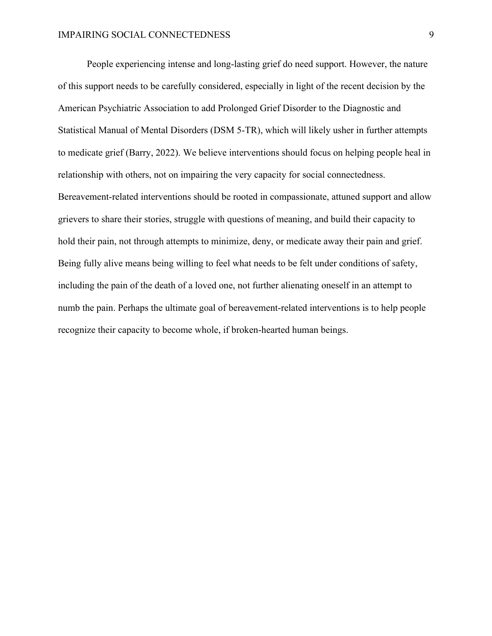People experiencing intense and long-lasting grief do need support. However, the nature of this support needs to be carefully considered, especially in light of the recent decision by the American Psychiatric Association to add Prolonged Grief Disorder to the Diagnostic and Statistical Manual of Mental Disorders (DSM 5-TR), which will likely usher in further attempts to medicate grief (Barry, 2022). We believe interventions should focus on helping people heal in relationship with others, not on impairing the very capacity for social connectedness. Bereavement-related interventions should be rooted in compassionate, attuned support and allow grievers to share their stories, struggle with questions of meaning, and build their capacity to hold their pain, not through attempts to minimize, deny, or medicate away their pain and grief. Being fully alive means being willing to feel what needs to be felt under conditions of safety, including the pain of the death of a loved one, not further alienating oneself in an attempt to numb the pain. Perhaps the ultimate goal of bereavement-related interventions is to help people recognize their capacity to become whole, if broken-hearted human beings.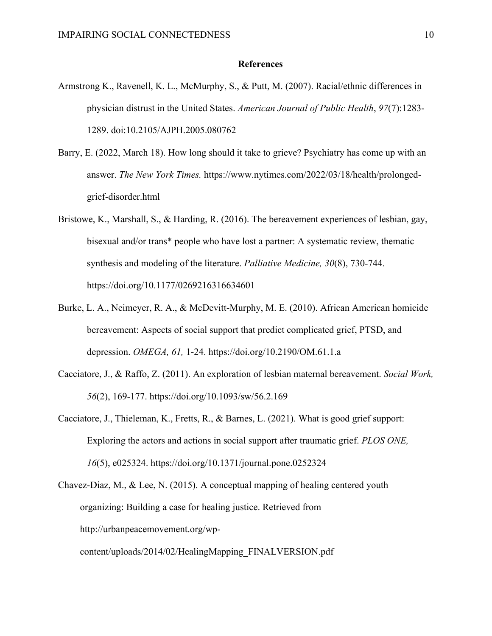### **References**

- Armstrong K., Ravenell, K. L., McMurphy, S., & Putt, M. (2007). Racial/ethnic differences in physician distrust in the United States. *American Journal of Public Health*, *97*(7):1283- 1289. doi:10.2105/AJPH.2005.080762
- Barry, E. (2022, March 18). How long should it take to grieve? Psychiatry has come up with an answer. *The New York Times.* https://www.nytimes.com/2022/03/18/health/prolongedgrief-disorder.html
- Bristowe, K., Marshall, S., & Harding, R. (2016). The bereavement experiences of lesbian, gay, bisexual and/or trans\* people who have lost a partner: A systematic review, thematic synthesis and modeling of the literature. *Palliative Medicine, 30*(8), 730-744. https://doi.org/10.1177/0269216316634601
- Burke, L. A., Neimeyer, R. A., & McDevitt-Murphy, M. E. (2010). African American homicide bereavement: Aspects of social support that predict complicated grief, PTSD, and depression. *OMEGA, 61,* 1-24. https://doi.org/10.2190/OM.61.1.a
- Cacciatore, J., & Raffo, Z. (2011). An exploration of lesbian maternal bereavement. *Social Work, 56*(2), 169-177. https://doi.org/10.1093/sw/56.2.169
- Cacciatore, J., Thieleman, K., Fretts, R., & Barnes, L. (2021). What is good grief support: Exploring the actors and actions in social support after traumatic grief. *PLOS ONE, 16*(5), e025324. https://doi.org/10.1371/journal.pone.0252324
- Chavez-Diaz, M., & Lee, N. (2015). A conceptual mapping of healing centered youth organizing: Building a case for healing justice. Retrieved from http://urbanpeacemovement.org/wp-

content/uploads/2014/02/HealingMapping\_FINALVERSION.pdf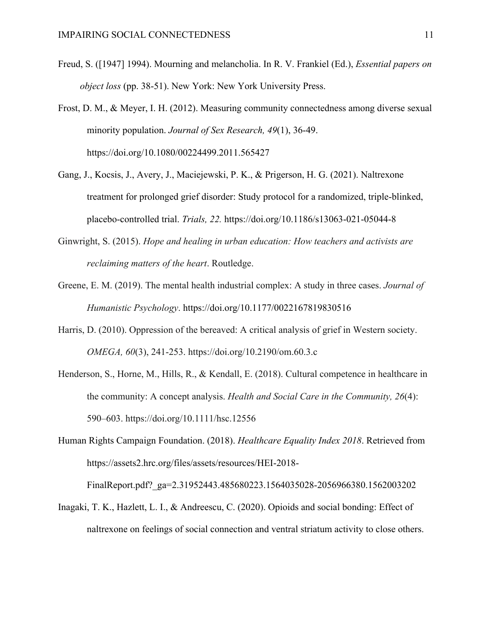- Freud, S. ([1947] 1994). Mourning and melancholia. In R. V. Frankiel (Ed.), *Essential papers on object loss* (pp. 38-51). New York: New York University Press.
- Frost, D. M., & Meyer, I. H. (2012). Measuring community connectedness among diverse sexual minority population. *Journal of Sex Research, 49*(1), 36-49. https://doi.org/10.1080/00224499.2011.565427
- Gang, J., Kocsis, J., Avery, J., Maciejewski, P. K., & Prigerson, H. G. (2021). Naltrexone treatment for prolonged grief disorder: Study protocol for a randomized, triple-blinked, placebo-controlled trial. *Trials, 22.* https://doi.org/10.1186/s13063-021-05044-8
- Ginwright, S. (2015). *Hope and healing in urban education: How teachers and activists are reclaiming matters of the heart*. Routledge.
- Greene, E. M. (2019). The mental health industrial complex: A study in three cases. *Journal of Humanistic Psychology*. https://doi.org/10.1177/0022167819830516
- Harris, D. (2010). Oppression of the bereaved: A critical analysis of grief in Western society. *OMEGA, 60*(3), 241-253. https://doi.org/10.2190/om.60.3.c
- Henderson, S., Horne, M., Hills, R., & Kendall, E. (2018). Cultural competence in healthcare in the community: A concept analysis. *Health and Social Care in the Community, 26*(4): 590–603. https://doi.org/10.1111/hsc.12556
- Human Rights Campaign Foundation. (2018). *Healthcare Equality Index 2018*. Retrieved from https://assets2.hrc.org/files/assets/resources/HEI-2018-

FinalReport.pdf?\_ga=2.31952443.485680223.1564035028-2056966380.1562003202

Inagaki, T. K., Hazlett, L. I., & Andreescu, C. (2020). Opioids and social bonding: Effect of naltrexone on feelings of social connection and ventral striatum activity to close others.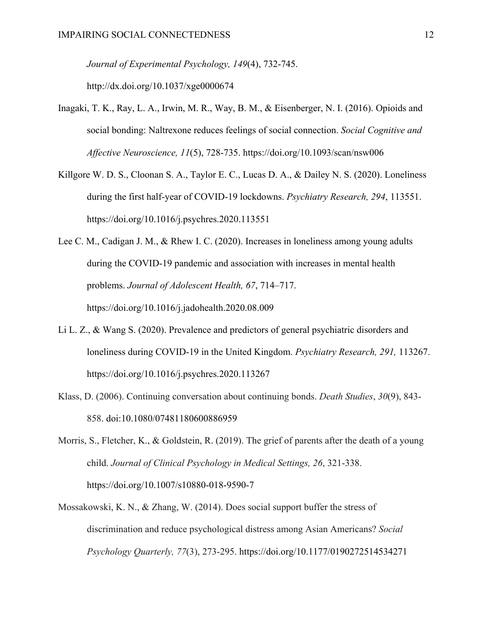*Journal of Experimental Psychology, 149*(4), 732-745. http://dx.doi.org/10.1037/xge0000674

- Inagaki, T. K., Ray, L. A., Irwin, M. R., Way, B. M., & Eisenberger, N. I. (2016). Opioids and social bonding: Naltrexone reduces feelings of social connection. *Social Cognitive and Affective Neuroscience, 11*(5), 728-735. https://doi.org/10.1093/scan/nsw006
- Killgore W. D. S., Cloonan S. A., Taylor E. C., Lucas D. A., & Dailey N. S. (2020). Loneliness during the first half-year of COVID-19 lockdowns. *Psychiatry Research, 294*, 113551. https://doi.org/10.1016/j.psychres.2020.113551
- Lee C. M., Cadigan J. M., & Rhew I. C. (2020). Increases in loneliness among young adults during the COVID-19 pandemic and association with increases in mental health problems. *Journal of Adolescent Health, 67*, 714–717. https://doi.org/10.1016/j.jadohealth.2020.08.009
- Li L. Z., & Wang S. (2020). Prevalence and predictors of general psychiatric disorders and loneliness during COVID-19 in the United Kingdom. *Psychiatry Research, 291,* 113267. https://doi.org/10.1016/j.psychres.2020.113267
- Klass, D. (2006). Continuing conversation about continuing bonds. *Death Studies*, *30*(9), 843- 858. doi:10.1080/07481180600886959
- Morris, S., Fletcher, K., & Goldstein, R. (2019). The grief of parents after the death of a young child. *Journal of Clinical Psychology in Medical Settings, 26*, 321-338. https://doi.org/10.1007/s10880-018-9590-7
- Mossakowski, K. N., & Zhang, W. (2014). Does social support buffer the stress of discrimination and reduce psychological distress among Asian Americans? *Social Psychology Quarterly, 77*(3), 273-295. https://doi.org/10.1177/0190272514534271